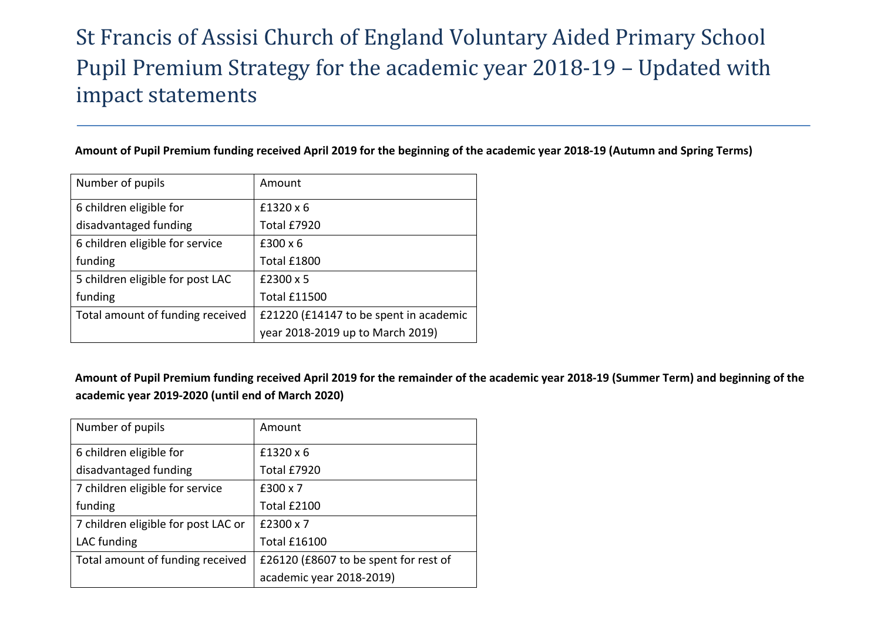## St Francis of Assisi Church of England Voluntary Aided Primary School Pupil Premium Strategy for the academic year 2018-19 – Updated with impact statements

## **Amount of Pupil Premium funding received April 2019 for the beginning of the academic year 2018-19 (Autumn and Spring Terms)**

| Number of pupils                 | Amount                                 |
|----------------------------------|----------------------------------------|
| 6 children eligible for          | $£1320 \times 6$                       |
| disadvantaged funding            | Total £7920                            |
| 6 children eligible for service  | $£300 \times 6$                        |
| funding                          | Total £1800                            |
| 5 children eligible for post LAC | £2300 x 5                              |
| funding                          | <b>Total £11500</b>                    |
| Total amount of funding received | £21220 (£14147 to be spent in academic |
|                                  | year 2018-2019 up to March 2019)       |

**Amount of Pupil Premium funding received April 2019 for the remainder of the academic year 2018-19 (Summer Term) and beginning of the academic year 2019-2020 (until end of March 2020)**

| Number of pupils                    | Amount                                |
|-------------------------------------|---------------------------------------|
| 6 children eligible for             | $£1320 \times 6$                      |
| disadvantaged funding               | Total £7920                           |
| 7 children eligible for service     | £300 x 7                              |
| funding                             | Total £2100                           |
| 7 children eligible for post LAC or | £2300 x 7                             |
| LAC funding                         | <b>Total £16100</b>                   |
| Total amount of funding received    | £26120 (£8607 to be spent for rest of |
|                                     | academic year 2018-2019)              |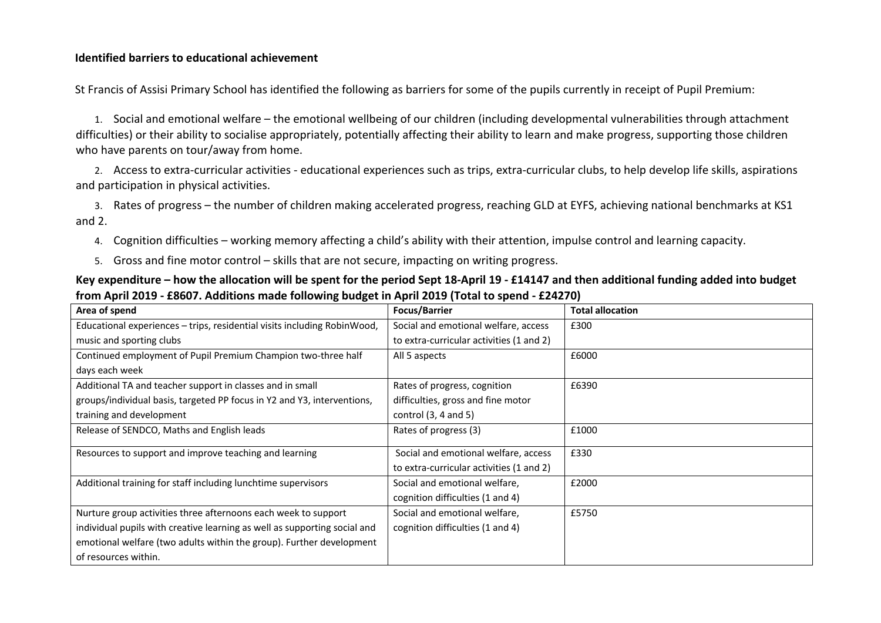## **Identified barriers to educational achievement**

St Francis of Assisi Primary School has identified the following as barriers for some of the pupils currently in receipt of Pupil Premium:

1. Social and emotional welfare – the emotional wellbeing of our children (including developmental vulnerabilities through attachment difficulties) or their ability to socialise appropriately, potentially affecting their ability to learn and make progress, supporting those children who have parents on tour/away from home.

2. Access to extra-curricular activities - educational experiences such as trips, extra-curricular clubs, to help develop life skills, aspirations and participation in physical activities.

3. Rates of progress – the number of children making accelerated progress, reaching GLD at EYFS, achieving national benchmarks at KS1 and 2.

- 4. Cognition difficulties working memory affecting a child's ability with their attention, impulse control and learning capacity.
- 5. Gross and fine motor control skills that are not secure, impacting on writing progress.
- **Key expenditure – how the allocation will be spent for the period Sept 18-April 19 - £14147 and then additional funding added into budget from April 2019 - £8607. Additions made following budget in April 2019 (Total to spend - £24270)**

| Area of spend                                                             | <b>Focus/Barrier</b>                     | <b>Total allocation</b> |
|---------------------------------------------------------------------------|------------------------------------------|-------------------------|
| Educational experiences – trips, residential visits including RobinWood,  | Social and emotional welfare, access     | £300                    |
| music and sporting clubs                                                  | to extra-curricular activities (1 and 2) |                         |
| Continued employment of Pupil Premium Champion two-three half             | All 5 aspects                            | £6000                   |
| days each week                                                            |                                          |                         |
| Additional TA and teacher support in classes and in small                 | Rates of progress, cognition             | £6390                   |
| groups/individual basis, targeted PP focus in Y2 and Y3, interventions,   | difficulties, gross and fine motor       |                         |
| training and development                                                  | control $(3, 4$ and $5)$                 |                         |
| Release of SENDCO, Maths and English leads                                | Rates of progress (3)                    | £1000                   |
| Resources to support and improve teaching and learning                    | Social and emotional welfare, access     | £330                    |
|                                                                           | to extra-curricular activities (1 and 2) |                         |
| Additional training for staff including lunchtime supervisors             | Social and emotional welfare,            | £2000                   |
|                                                                           | cognition difficulties (1 and 4)         |                         |
| Nurture group activities three afternoons each week to support            | Social and emotional welfare,            | £5750                   |
| individual pupils with creative learning as well as supporting social and | cognition difficulties (1 and 4)         |                         |
| emotional welfare (two adults within the group). Further development      |                                          |                         |
| of resources within.                                                      |                                          |                         |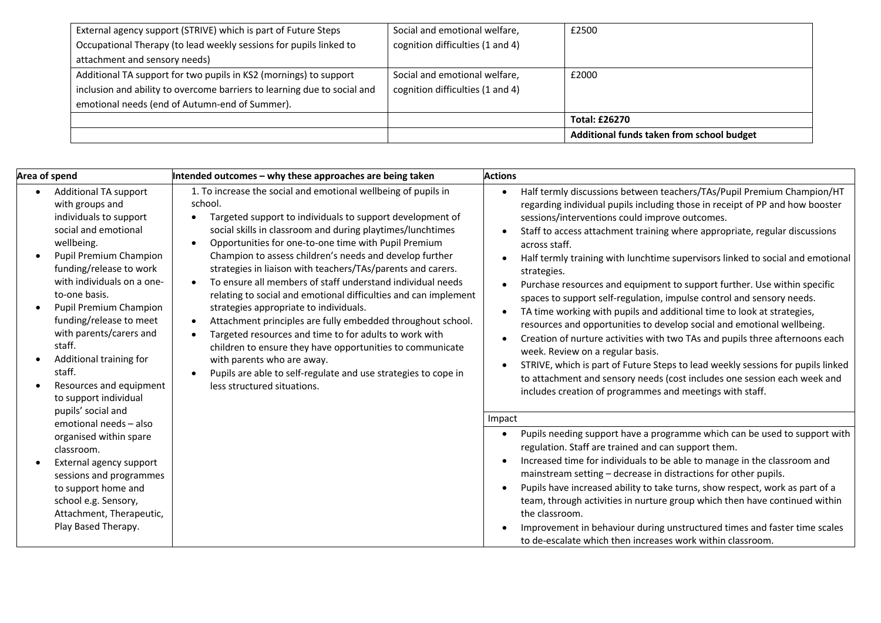| External agency support (STRIVE) which is part of Future Steps           | Social and emotional welfare,    | £2500                                     |
|--------------------------------------------------------------------------|----------------------------------|-------------------------------------------|
| Occupational Therapy (to lead weekly sessions for pupils linked to       | cognition difficulties (1 and 4) |                                           |
| attachment and sensory needs)                                            |                                  |                                           |
| Additional TA support for two pupils in KS2 (mornings) to support        | Social and emotional welfare,    | £2000                                     |
| inclusion and ability to overcome barriers to learning due to social and | cognition difficulties (1 and 4) |                                           |
| emotional needs (end of Autumn-end of Summer).                           |                                  |                                           |
|                                                                          |                                  | <b>Total: £26270</b>                      |
|                                                                          |                                  | Additional funds taken from school budget |

| Area of spend                                                                                                                                                                                                                                                                                                                                                                                                                                                                    | Intended outcomes - why these approaches are being taken                                                                                                                                                                                                                                                                                                                                                                                                                                                                                                                                                                                                                                                                                                                                                                                                                                                                                                | <b>Actions</b>                                                                                                                                                                                                                                                                                                                                                                                                                                                                                                                                                                                                                                                                                                                                                                                                                                                                                                                                                                                                                                                                                                                                                                                                                                                     |
|----------------------------------------------------------------------------------------------------------------------------------------------------------------------------------------------------------------------------------------------------------------------------------------------------------------------------------------------------------------------------------------------------------------------------------------------------------------------------------|---------------------------------------------------------------------------------------------------------------------------------------------------------------------------------------------------------------------------------------------------------------------------------------------------------------------------------------------------------------------------------------------------------------------------------------------------------------------------------------------------------------------------------------------------------------------------------------------------------------------------------------------------------------------------------------------------------------------------------------------------------------------------------------------------------------------------------------------------------------------------------------------------------------------------------------------------------|--------------------------------------------------------------------------------------------------------------------------------------------------------------------------------------------------------------------------------------------------------------------------------------------------------------------------------------------------------------------------------------------------------------------------------------------------------------------------------------------------------------------------------------------------------------------------------------------------------------------------------------------------------------------------------------------------------------------------------------------------------------------------------------------------------------------------------------------------------------------------------------------------------------------------------------------------------------------------------------------------------------------------------------------------------------------------------------------------------------------------------------------------------------------------------------------------------------------------------------------------------------------|
| <b>Additional TA support</b><br>with groups and<br>individuals to support<br>social and emotional<br>wellbeing.<br>Pupil Premium Champion<br>funding/release to work<br>with individuals on a one-<br>to-one basis.<br>Pupil Premium Champion<br>funding/release to meet<br>with parents/carers and<br>staff.<br>Additional training for<br>staff.<br>Resources and equipment<br>to support individual<br>pupils' social and<br>emotional needs - also<br>organised within spare | 1. To increase the social and emotional wellbeing of pupils in<br>school.<br>Targeted support to individuals to support development of<br>$\bullet$<br>social skills in classroom and during playtimes/lunchtimes<br>Opportunities for one-to-one time with Pupil Premium<br>$\bullet$<br>Champion to assess children's needs and develop further<br>strategies in liaison with teachers/TAs/parents and carers.<br>To ensure all members of staff understand individual needs<br>relating to social and emotional difficulties and can implement<br>strategies appropriate to individuals.<br>Attachment principles are fully embedded throughout school.<br>$\bullet$<br>Targeted resources and time to for adults to work with<br>$\bullet$<br>children to ensure they have opportunities to communicate<br>with parents who are away.<br>Pupils are able to self-regulate and use strategies to cope in<br>$\bullet$<br>less structured situations. | Half termly discussions between teachers/TAs/Pupil Premium Champion/HT<br>$\bullet$<br>regarding individual pupils including those in receipt of PP and how booster<br>sessions/interventions could improve outcomes.<br>Staff to access attachment training where appropriate, regular discussions<br>across staff.<br>Half termly training with lunchtime supervisors linked to social and emotional<br>$\bullet$<br>strategies.<br>Purchase resources and equipment to support further. Use within specific<br>spaces to support self-regulation, impulse control and sensory needs.<br>TA time working with pupils and additional time to look at strategies,<br>$\bullet$<br>resources and opportunities to develop social and emotional wellbeing.<br>Creation of nurture activities with two TAs and pupils three afternoons each<br>$\bullet$<br>week. Review on a regular basis.<br>STRIVE, which is part of Future Steps to lead weekly sessions for pupils linked<br>to attachment and sensory needs (cost includes one session each week and<br>includes creation of programmes and meetings with staff.<br>Impact<br>Pupils needing support have a programme which can be used to support with<br>regulation. Staff are trained and can support them. |
| classroom.<br>External agency support<br>sessions and programmes<br>to support home and<br>school e.g. Sensory,<br>Attachment, Therapeutic,<br>Play Based Therapy.                                                                                                                                                                                                                                                                                                               |                                                                                                                                                                                                                                                                                                                                                                                                                                                                                                                                                                                                                                                                                                                                                                                                                                                                                                                                                         | Increased time for individuals to be able to manage in the classroom and<br>$\bullet$<br>mainstream setting - decrease in distractions for other pupils.<br>Pupils have increased ability to take turns, show respect, work as part of a<br>team, through activities in nurture group which then have continued within<br>the classroom.<br>Improvement in behaviour during unstructured times and faster time scales<br>to de-escalate which then increases work within classroom.                                                                                                                                                                                                                                                                                                                                                                                                                                                                                                                                                                                                                                                                                                                                                                                |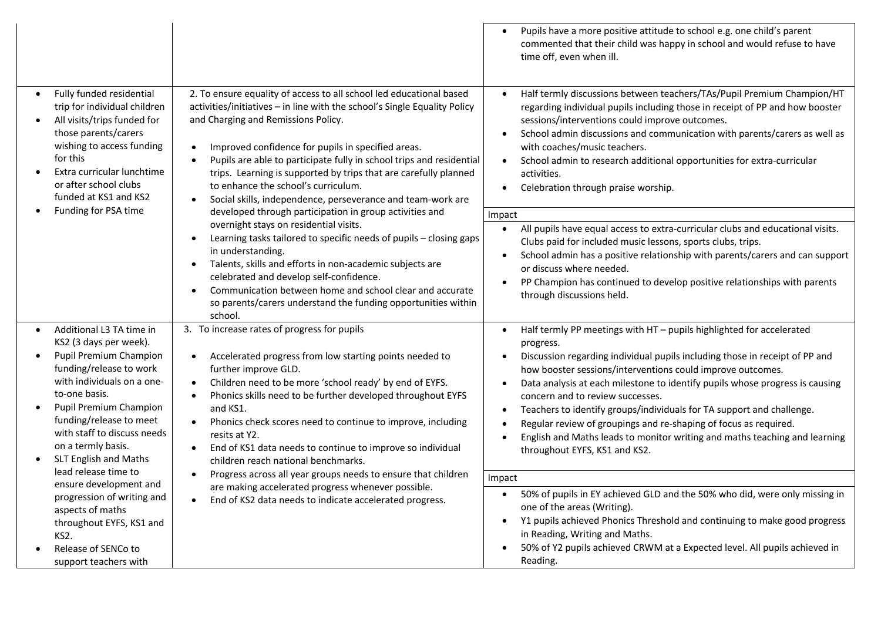|                                                                                                                                                                                                                                                                                                                                                                                                                                                |                                                                                                                                                                                                                                                                                                                                                                                                                                                                                                                                                                                                                                                                                                                                                                                                                                                                                                                                                                                                                 | Pupils have a more positive attitude to school e.g. one child's parent<br>commented that their child was happy in school and would refuse to have<br>time off, even when ill.                                                                                                                                                                                                                                                                                                                                                                                                                                                                                                                                                                                                                                                                                                                            |
|------------------------------------------------------------------------------------------------------------------------------------------------------------------------------------------------------------------------------------------------------------------------------------------------------------------------------------------------------------------------------------------------------------------------------------------------|-----------------------------------------------------------------------------------------------------------------------------------------------------------------------------------------------------------------------------------------------------------------------------------------------------------------------------------------------------------------------------------------------------------------------------------------------------------------------------------------------------------------------------------------------------------------------------------------------------------------------------------------------------------------------------------------------------------------------------------------------------------------------------------------------------------------------------------------------------------------------------------------------------------------------------------------------------------------------------------------------------------------|----------------------------------------------------------------------------------------------------------------------------------------------------------------------------------------------------------------------------------------------------------------------------------------------------------------------------------------------------------------------------------------------------------------------------------------------------------------------------------------------------------------------------------------------------------------------------------------------------------------------------------------------------------------------------------------------------------------------------------------------------------------------------------------------------------------------------------------------------------------------------------------------------------|
| Fully funded residential<br>$\bullet$<br>trip for individual children<br>All visits/trips funded for<br>those parents/carers<br>wishing to access funding<br>for this<br>Extra curricular lunchtime<br>or after school clubs<br>funded at KS1 and KS2<br>Funding for PSA time                                                                                                                                                                  | 2. To ensure equality of access to all school led educational based<br>activities/initiatives - in line with the school's Single Equality Policy<br>and Charging and Remissions Policy.<br>Improved confidence for pupils in specified areas.<br>$\bullet$<br>Pupils are able to participate fully in school trips and residential<br>trips. Learning is supported by trips that are carefully planned<br>to enhance the school's curriculum.<br>Social skills, independence, perseverance and team-work are<br>$\bullet$<br>developed through participation in group activities and<br>overnight stays on residential visits.<br>Learning tasks tailored to specific needs of pupils - closing gaps<br>$\bullet$<br>in understanding.<br>Talents, skills and efforts in non-academic subjects are<br>$\bullet$<br>celebrated and develop self-confidence.<br>Communication between home and school clear and accurate<br>$\bullet$<br>so parents/carers understand the funding opportunities within<br>school. | Half termly discussions between teachers/TAs/Pupil Premium Champion/HT<br>regarding individual pupils including those in receipt of PP and how booster<br>sessions/interventions could improve outcomes.<br>School admin discussions and communication with parents/carers as well as<br>$\bullet$<br>with coaches/music teachers.<br>School admin to research additional opportunities for extra-curricular<br>$\bullet$<br>activities.<br>Celebration through praise worship.<br>$\bullet$<br>Impact<br>All pupils have equal access to extra-curricular clubs and educational visits.<br>$\bullet$<br>Clubs paid for included music lessons, sports clubs, trips.<br>School admin has a positive relationship with parents/carers and can support<br>$\bullet$<br>or discuss where needed.<br>PP Champion has continued to develop positive relationships with parents<br>through discussions held.   |
| Additional L3 TA time in<br>KS2 (3 days per week).<br>Pupil Premium Champion<br>funding/release to work<br>with individuals on a one-<br>to-one basis.<br>Pupil Premium Champion<br>funding/release to meet<br>with staff to discuss needs<br>on a termly basis.<br>SLT English and Maths<br>lead release time to<br>ensure development and<br>progression of writing and<br>aspects of maths<br>throughout EYFS, KS1 and<br>KS <sub>2</sub> . | 3. To increase rates of progress for pupils<br>Accelerated progress from low starting points needed to<br>$\bullet$<br>further improve GLD.<br>Children need to be more 'school ready' by end of EYFS.<br>$\bullet$<br>Phonics skills need to be further developed throughout EYFS<br>$\bullet$<br>and KS1.<br>Phonics check scores need to continue to improve, including<br>$\bullet$<br>resits at Y2.<br>End of KS1 data needs to continue to improve so individual<br>$\bullet$<br>children reach national benchmarks.<br>Progress across all year groups needs to ensure that children<br>are making accelerated progress whenever possible.<br>End of KS2 data needs to indicate accelerated progress.<br>$\bullet$                                                                                                                                                                                                                                                                                       | Half termly PP meetings with HT - pupils highlighted for accelerated<br>$\bullet$<br>progress.<br>Discussion regarding individual pupils including those in receipt of PP and<br>how booster sessions/interventions could improve outcomes.<br>Data analysis at each milestone to identify pupils whose progress is causing<br>concern and to review successes.<br>Teachers to identify groups/individuals for TA support and challenge.<br>Regular review of groupings and re-shaping of focus as required.<br>English and Maths leads to monitor writing and maths teaching and learning<br>$\bullet$<br>throughout EYFS, KS1 and KS2.<br>Impact<br>50% of pupils in EY achieved GLD and the 50% who did, were only missing in<br>$\bullet$<br>one of the areas (Writing).<br>Y1 pupils achieved Phonics Threshold and continuing to make good progress<br>$\bullet$<br>in Reading, Writing and Maths. |
| Release of SENCo to<br>support teachers with                                                                                                                                                                                                                                                                                                                                                                                                   |                                                                                                                                                                                                                                                                                                                                                                                                                                                                                                                                                                                                                                                                                                                                                                                                                                                                                                                                                                                                                 | 50% of Y2 pupils achieved CRWM at a Expected level. All pupils achieved in<br>Reading.                                                                                                                                                                                                                                                                                                                                                                                                                                                                                                                                                                                                                                                                                                                                                                                                                   |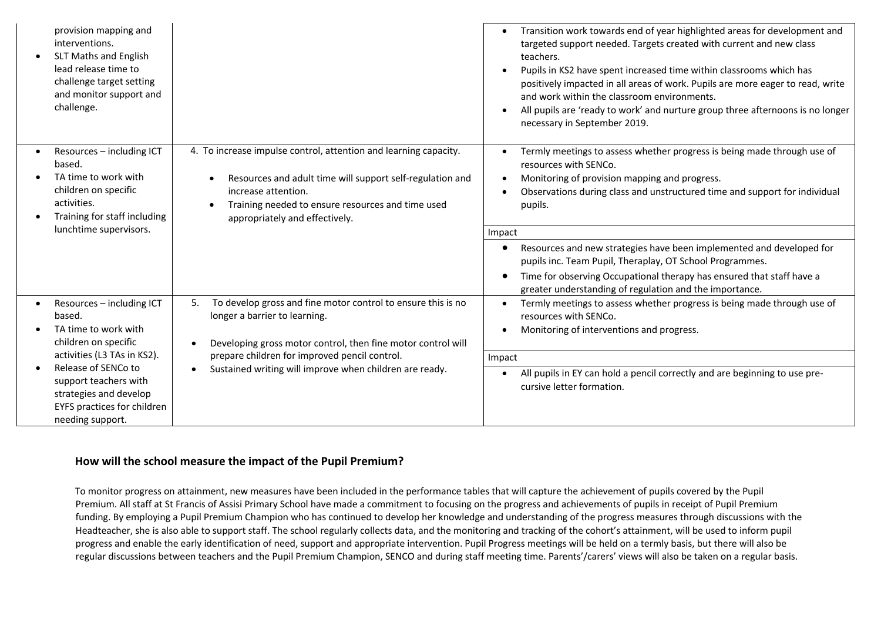| provision mapping and<br>interventions.<br><b>SLT Maths and English</b><br>lead release time to<br>challenge target setting<br>and monitor support and<br>challenge. |                                                                                                                                                                                                                                             | Transition work towards end of year highlighted areas for development and<br>targeted support needed. Targets created with current and new class<br>teachers.<br>Pupils in KS2 have spent increased time within classrooms which has<br>positively impacted in all areas of work. Pupils are more eager to read, write<br>and work within the classroom environments.<br>All pupils are 'ready to work' and nurture group three afternoons is no longer<br>necessary in September 2019. |
|----------------------------------------------------------------------------------------------------------------------------------------------------------------------|---------------------------------------------------------------------------------------------------------------------------------------------------------------------------------------------------------------------------------------------|-----------------------------------------------------------------------------------------------------------------------------------------------------------------------------------------------------------------------------------------------------------------------------------------------------------------------------------------------------------------------------------------------------------------------------------------------------------------------------------------|
| Resources - including ICT<br>based.<br>TA time to work with<br>children on specific<br>activities.<br>Training for staff including                                   | 4. To increase impulse control, attention and learning capacity.<br>Resources and adult time will support self-regulation and<br>increase attention.<br>Training needed to ensure resources and time used<br>appropriately and effectively. | Termly meetings to assess whether progress is being made through use of<br>resources with SENCo.<br>Monitoring of provision mapping and progress.<br>Observations during class and unstructured time and support for individual<br>pupils.                                                                                                                                                                                                                                              |
| lunchtime supervisors.                                                                                                                                               |                                                                                                                                                                                                                                             | Impact                                                                                                                                                                                                                                                                                                                                                                                                                                                                                  |
|                                                                                                                                                                      |                                                                                                                                                                                                                                             | Resources and new strategies have been implemented and developed for<br>pupils inc. Team Pupil, Theraplay, OT School Programmes.                                                                                                                                                                                                                                                                                                                                                        |
|                                                                                                                                                                      |                                                                                                                                                                                                                                             | Time for observing Occupational therapy has ensured that staff have a<br>greater understanding of regulation and the importance.                                                                                                                                                                                                                                                                                                                                                        |
| Resources - including ICT<br>based.<br>TA time to work with<br>children on specific                                                                                  | To develop gross and fine motor control to ensure this is no<br>5.<br>longer a barrier to learning.<br>Developing gross motor control, then fine motor control will                                                                         | Termly meetings to assess whether progress is being made through use of<br>resources with SENCo.<br>Monitoring of interventions and progress.                                                                                                                                                                                                                                                                                                                                           |
| activities (L3 TAs in KS2).                                                                                                                                          | prepare children for improved pencil control.                                                                                                                                                                                               | Impact                                                                                                                                                                                                                                                                                                                                                                                                                                                                                  |
| Release of SENCo to<br>support teachers with<br>strategies and develop<br>EYFS practices for children<br>needing support.                                            | Sustained writing will improve when children are ready.                                                                                                                                                                                     | All pupils in EY can hold a pencil correctly and are beginning to use pre-<br>cursive letter formation.                                                                                                                                                                                                                                                                                                                                                                                 |

## **How will the school measure the impact of the Pupil Premium?**

To monitor progress on attainment, new measures have been included in the performance tables that will capture the achievement of pupils covered by the Pupil Premium. All staff at St Francis of Assisi Primary School have made a commitment to focusing on the progress and achievements of pupils in receipt of Pupil Premium funding. By employing a Pupil Premium Champion who has continued to develop her knowledge and understanding of the progress measures through discussions with the Headteacher, she is also able to support staff. The school regularly collects data, and the monitoring and tracking of the cohort's attainment, will be used to inform pupil progress and enable the early identification of need, support and appropriate intervention. Pupil Progress meetings will be held on a termly basis, but there will also be regular discussions between teachers and the Pupil Premium Champion, SENCO and during staff meeting time. Parents'/carers' views will also be taken on a regular basis.